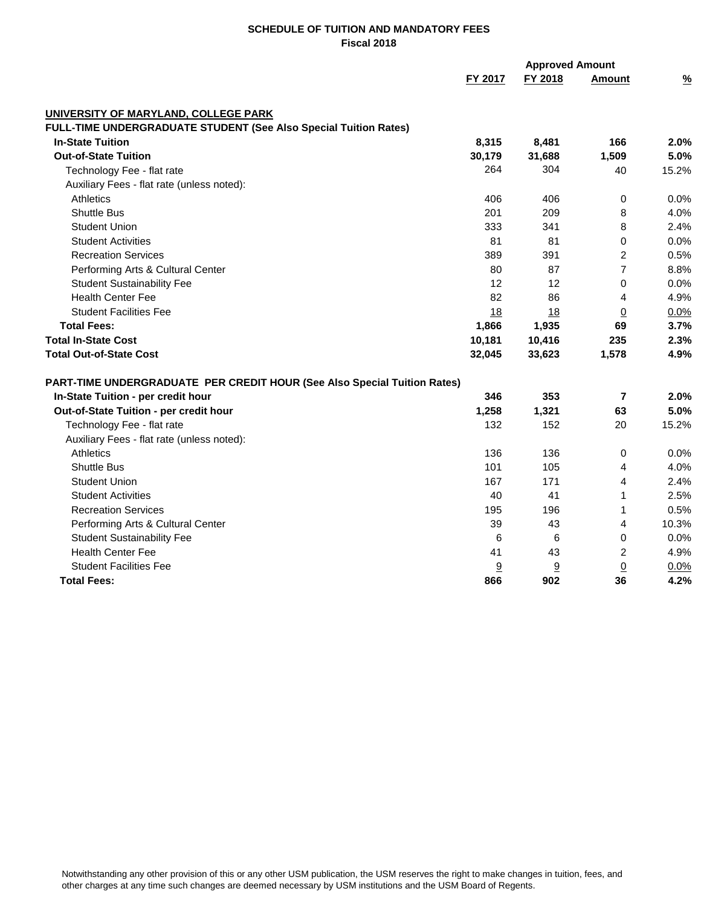|                                                                          | <b>Approved Amount</b> |         |                          |               |
|--------------------------------------------------------------------------|------------------------|---------|--------------------------|---------------|
|                                                                          | FY 2017                | FY 2018 | <b>Amount</b>            | $\frac{9}{6}$ |
| UNIVERSITY OF MARYLAND, COLLEGE PARK                                     |                        |         |                          |               |
| FULL-TIME UNDERGRADUATE STUDENT (See Also Special Tuition Rates)         |                        |         |                          |               |
| <b>In-State Tuition</b>                                                  | 8,315                  | 8,481   | 166                      | 2.0%          |
| <b>Out-of-State Tuition</b>                                              | 30,179                 | 31,688  | 1,509                    | 5.0%          |
| Technology Fee - flat rate                                               | 264                    | 304     | 40                       | 15.2%         |
| Auxiliary Fees - flat rate (unless noted):                               |                        |         |                          |               |
| <b>Athletics</b>                                                         | 406                    | 406     | 0                        | 0.0%          |
| <b>Shuttle Bus</b>                                                       | 201                    | 209     | 8                        | 4.0%          |
| <b>Student Union</b>                                                     | 333                    | 341     | 8                        | 2.4%          |
| <b>Student Activities</b>                                                | 81                     | 81      | 0                        | 0.0%          |
| <b>Recreation Services</b>                                               | 389                    | 391     | $\overline{2}$           | 0.5%          |
| Performing Arts & Cultural Center                                        | 80                     | 87      | $\overline{7}$           | 8.8%          |
| <b>Student Sustainability Fee</b>                                        | 12                     | 12      | 0                        | 0.0%          |
| <b>Health Center Fee</b>                                                 | 82                     | 86      | 4                        | 4.9%          |
| <b>Student Facilities Fee</b>                                            | 18                     | 18      | $\overline{0}$           | 0.0%          |
| <b>Total Fees:</b>                                                       | 1,866                  | 1,935   | 69                       | 3.7%          |
| <b>Total In-State Cost</b>                                               | 10,181                 | 10,416  | 235                      | 2.3%          |
| <b>Total Out-of-State Cost</b>                                           | 32,045                 | 33,623  | 1,578                    | 4.9%          |
| PART-TIME UNDERGRADUATE PER CREDIT HOUR (See Also Special Tuition Rates) |                        |         |                          |               |
| In-State Tuition - per credit hour                                       | 346                    | 353     | $\overline{\phantom{a}}$ | 2.0%          |
| Out-of-State Tuition - per credit hour                                   | 1,258                  | 1,321   | 63                       | 5.0%          |
| Technology Fee - flat rate                                               | 132                    | 152     | 20                       | 15.2%         |
| Auxiliary Fees - flat rate (unless noted):                               |                        |         |                          |               |
| <b>Athletics</b>                                                         | 136                    | 136     | 0                        | 0.0%          |
| <b>Shuttle Bus</b>                                                       | 101                    | 105     | 4                        | 4.0%          |
| <b>Student Union</b>                                                     | 167                    | 171     | $\overline{4}$           | 2.4%          |
| <b>Student Activities</b>                                                | 40                     | 41      | 1                        | 2.5%          |
| <b>Recreation Services</b>                                               | 195                    | 196     | 1                        | 0.5%          |
| Performing Arts & Cultural Center                                        | 39                     | 43      | 4                        | 10.3%         |
| <b>Student Sustainability Fee</b>                                        | 6                      | 6       | 0                        | 0.0%          |
| <b>Health Center Fee</b>                                                 | 41                     | 43      | $\overline{c}$           | 4.9%          |
| <b>Student Facilities Fee</b>                                            | 9                      | 9       | $\underline{0}$          | 0.0%          |
| <b>Total Fees:</b>                                                       | 866                    | 902     | 36                       | 4.2%          |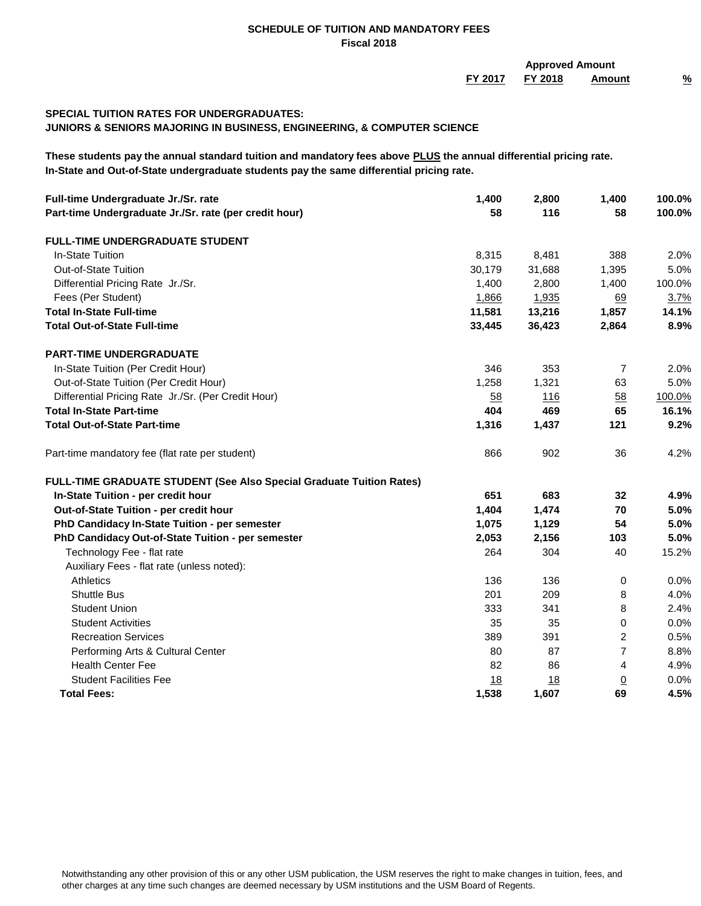**FY 2017 FY 2018 Amount % Approved Amount**

# **SPECIAL TUITION RATES FOR UNDERGRADUATES:**

**JUNIORS & SENIORS MAJORING IN BUSINESS, ENGINEERING, & COMPUTER SCIENCE**

**These students pay the annual standard tuition and mandatory fees above PLUS the annual differential pricing rate. In-State and Out-of-State undergraduate students pay the same differential pricing rate.**

| Full-time Undergraduate Jr./Sr. rate<br>Part-time Undergraduate Jr./Sr. rate (per credit hour) | 1,400<br>58 | 2,800<br>116 | 1,400<br>58    | 100.0%<br>100.0% |
|------------------------------------------------------------------------------------------------|-------------|--------------|----------------|------------------|
|                                                                                                |             |              |                |                  |
| <b>FULL-TIME UNDERGRADUATE STUDENT</b>                                                         |             |              |                |                  |
| In-State Tuition                                                                               | 8,315       | 8,481        | 388            | 2.0%             |
| Out-of-State Tuition                                                                           | 30,179      | 31,688       | 1,395          | 5.0%             |
| Differential Pricing Rate Jr./Sr.                                                              | 1,400       | 2,800        | 1,400          | 100.0%           |
| Fees (Per Student)                                                                             | 1,866       | 1,935        | <u>69</u>      | 3.7%             |
| <b>Total In-State Full-time</b>                                                                | 11,581      | 13,216       | 1,857          | 14.1%            |
| <b>Total Out-of-State Full-time</b>                                                            | 33,445      | 36,423       | 2,864          | 8.9%             |
| <b>PART-TIME UNDERGRADUATE</b>                                                                 |             |              |                |                  |
| In-State Tuition (Per Credit Hour)                                                             | 346         | 353          | 7              | 2.0%             |
| Out-of-State Tuition (Per Credit Hour)                                                         | 1,258       | 1,321        | 63             | 5.0%             |
| Differential Pricing Rate Jr./Sr. (Per Credit Hour)                                            | 58          | 116          | 58             | 100.0%           |
| <b>Total In-State Part-time</b>                                                                | 404         | 469          | 65             | 16.1%            |
| <b>Total Out-of-State Part-time</b>                                                            | 1,316       | 1,437        | 121            | 9.2%             |
| Part-time mandatory fee (flat rate per student)                                                | 866         | 902          | 36             | 4.2%             |
| <b>FULL-TIME GRADUATE STUDENT (See Also Special Graduate Tuition Rates)</b>                    |             |              |                |                  |
| In-State Tuition - per credit hour                                                             | 651         | 683          | 32             | 4.9%             |
| Out-of-State Tuition - per credit hour                                                         | 1,404       | 1,474        | 70             | 5.0%             |
| PhD Candidacy In-State Tuition - per semester                                                  | 1,075       | 1,129        | 54             | 5.0%             |
| PhD Candidacy Out-of-State Tuition - per semester                                              | 2,053       | 2,156        | 103            | 5.0%             |
| Technology Fee - flat rate                                                                     | 264         | 304          | 40             | 15.2%            |
| Auxiliary Fees - flat rate (unless noted):                                                     |             |              |                |                  |
| Athletics                                                                                      | 136         | 136          | 0              | $0.0\%$          |
| <b>Shuttle Bus</b>                                                                             | 201         | 209          | 8              | 4.0%             |
| <b>Student Union</b>                                                                           | 333         | 341          | 8              | 2.4%             |
| <b>Student Activities</b>                                                                      | 35          | 35           | 0              | 0.0%             |
| <b>Recreation Services</b>                                                                     | 389         | 391          | 2              | 0.5%             |
| Performing Arts & Cultural Center                                                              | 80          | 87           | $\overline{7}$ | 8.8%             |
| <b>Health Center Fee</b>                                                                       | 82          | 86           | 4              | 4.9%             |
| <b>Student Facilities Fee</b>                                                                  | 18          | 18           | <u>0</u>       | $0.0\%$          |
| <b>Total Fees:</b>                                                                             | 1,538       | 1,607        | 69             | 4.5%             |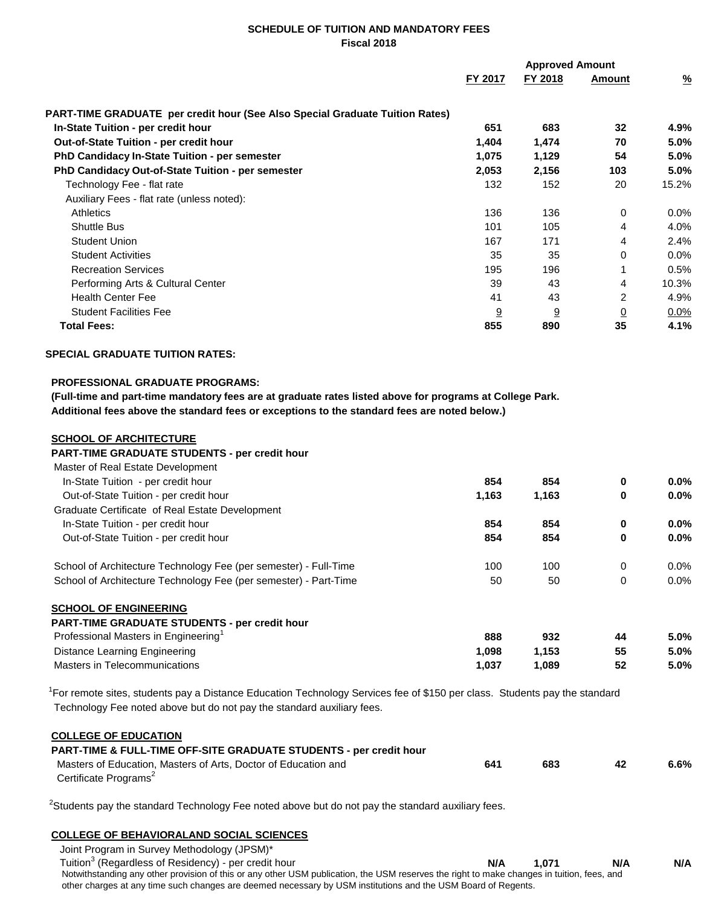|                                                                                     |         | <b>Approved Amount</b> |                |               |  |
|-------------------------------------------------------------------------------------|---------|------------------------|----------------|---------------|--|
|                                                                                     | FY 2017 | FY 2018                | <b>Amount</b>  | $\frac{9}{6}$ |  |
| <b>PART-TIME GRADUATE</b> per credit hour (See Also Special Graduate Tuition Rates) |         |                        |                |               |  |
| In-State Tuition - per credit hour                                                  | 651     | 683                    | 32             | 4.9%          |  |
| <b>Out-of-State Tuition - per credit hour</b>                                       | 1,404   | 1,474                  | 70             | 5.0%          |  |
| <b>PhD Candidacy In-State Tuition - per semester</b>                                | 1,075   | 1,129                  | 54             | 5.0%          |  |
| <b>PhD Candidacy Out-of-State Tuition - per semester</b>                            | 2,053   | 2,156                  | 103            | 5.0%          |  |
| Technology Fee - flat rate                                                          | 132     | 152                    | 20             | 15.2%         |  |
| Auxiliary Fees - flat rate (unless noted):                                          |         |                        |                |               |  |
| <b>Athletics</b>                                                                    | 136     | 136                    | $\Omega$       | $0.0\%$       |  |
| <b>Shuttle Bus</b>                                                                  | 101     | 105                    | 4              | 4.0%          |  |
| <b>Student Union</b>                                                                | 167     | 171                    | 4              | 2.4%          |  |
| <b>Student Activities</b>                                                           | 35      | 35                     | $\Omega$       | 0.0%          |  |
| <b>Recreation Services</b>                                                          | 195     | 196                    |                | 0.5%          |  |
| Performing Arts & Cultural Center                                                   | 39      | 43                     | 4              | 10.3%         |  |
| <b>Health Center Fee</b>                                                            | 41      | 43                     | $\overline{2}$ | 4.9%          |  |
| <b>Student Facilities Fee</b>                                                       | 9       | $\overline{9}$         | $\overline{0}$ | $0.0\%$       |  |
| <b>Total Fees:</b>                                                                  | 855     | 890                    | 35             | 4.1%          |  |

### **SPECIAL GRADUATE TUITION RATES:**

#### **PROFESSIONAL GRADUATE PROGRAMS:**

 **(Full-time and part-time mandatory fees are at graduate rates listed above for programs at College Park. Additional fees above the standard fees or exceptions to the standard fees are noted below.)**

#### **SCHOOL OF ARCHITECTURE**

#### **PART-TIME GRADUATE STUDENTS - per credit hour**

| Master of Real Estate Development                                |       |       |          |      |
|------------------------------------------------------------------|-------|-------|----------|------|
| In-State Tuition - per credit hour                               | 854   | 854   | $\bf{0}$ | 0.0% |
| Out-of-State Tuition - per credit hour                           | 1,163 | 1,163 | 0        | 0.0% |
| Graduate Certificate of Real Estate Development                  |       |       |          |      |
| In-State Tuition - per credit hour                               | 854   | 854   | $\bf{0}$ | 0.0% |
| Out-of-State Tuition - per credit hour                           | 854   | 854   | 0        | 0.0% |
| School of Architecture Technology Fee (per semester) - Full-Time | 100   | 100   | 0        | 0.0% |
| School of Architecture Technology Fee (per semester) - Part-Time | 50    | 50    | 0        | 0.0% |
| <b>SCHOOL OF ENGINEERING</b>                                     |       |       |          |      |
| <b>PART-TIME GRADUATE STUDENTS - per credit hour</b>             |       |       |          |      |
| Professional Masters in Engineering <sup>1</sup>                 | 888   | 932   | 44       | 5.0% |
| Distance Learning Engineering                                    | 1,098 | 1,153 | 55       | 5.0% |
| Masters in Telecommunications                                    | 1.037 | 1.089 | 52       | 5.0% |

<sup>1</sup>For remote sites, students pay a Distance Education Technology Services fee of \$150 per class. Students pay the standard Technology Fee noted above but do not pay the standard auxiliary fees.

### **COLLEGE OF EDUCATION**

| <b>PART-TIME &amp; FULL-TIME OFF-SITE GRADUATE STUDENTS - per credit hour</b> |     |     |     |         |
|-------------------------------------------------------------------------------|-----|-----|-----|---------|
| Masters of Education. Masters of Arts. Doctor of Education and                | 641 | 683 | -42 | $6.6\%$ |
| Certificate Programs <sup>2</sup>                                             |     |     |     |         |

 $2$ Students pay the standard Technology Fee noted above but do not pay the standard auxiliary fees.

## **COLLEGE OF BEHAVIORALAND SOCIAL SCIENCES**

| Joint Program in Survey Methodology (JPSM)*                                                                                                |     |       |     |     |
|--------------------------------------------------------------------------------------------------------------------------------------------|-----|-------|-----|-----|
| Tuition <sup>3</sup> (Regardless of Residency) - per credit hour                                                                           | N/A | 1.071 | N/A | N/A |
| Notwithstanding any other provision of this or any other USM publication, the USM reserves the right to make changes in tuition, fees, and |     |       |     |     |
| other charges at any time such changes are deemed necessary by USM institutions and the USM Board of Regents.                              |     |       |     |     |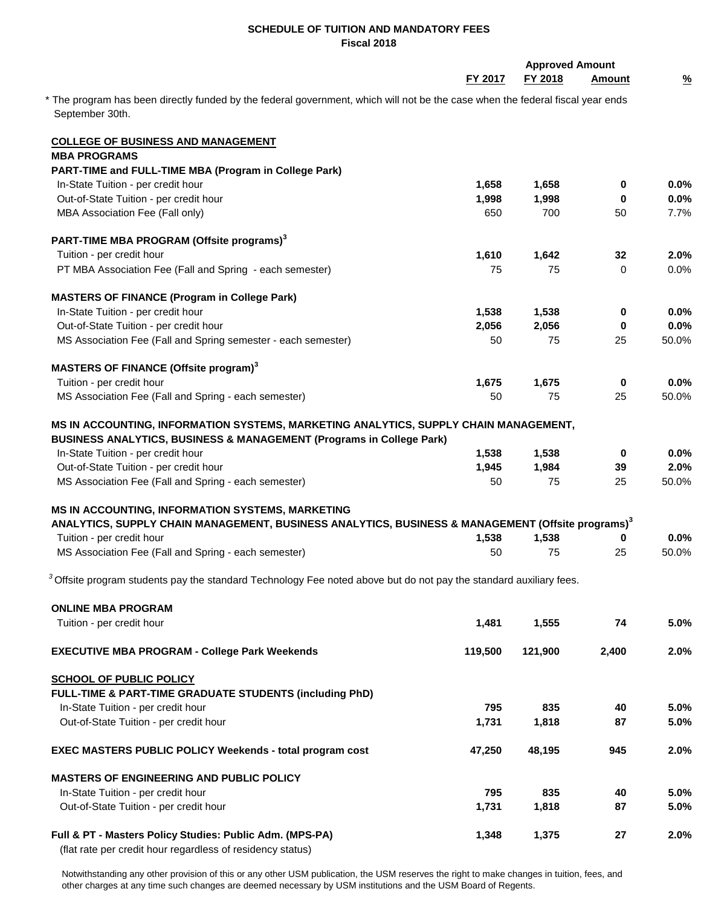|                                                                                                                                |         | <b>Approved Amount</b> |               |               |
|--------------------------------------------------------------------------------------------------------------------------------|---------|------------------------|---------------|---------------|
|                                                                                                                                | FY 2017 | FY 2018                | <b>Amount</b> | $\frac{9}{6}$ |
| * The program has been directly funded by the federal government, which will not be the case when the federal fiscal year ends |         |                        |               |               |
| September 30th.                                                                                                                |         |                        |               |               |
| <b>COLLEGE OF BUSINESS AND MANAGEMENT</b>                                                                                      |         |                        |               |               |
| <b>MBA PROGRAMS</b>                                                                                                            |         |                        |               |               |
| PART-TIME and FULL-TIME MBA (Program in College Park)                                                                          |         |                        |               |               |
| In-State Tuition - per credit hour                                                                                             | 1,658   | 1,658                  | 0             | $0.0\%$       |
| Out-of-State Tuition - per credit hour                                                                                         | 1,998   | 1,998                  | 0             | $0.0\%$       |
| MBA Association Fee (Fall only)                                                                                                | 650     | 700                    | 50            | 7.7%          |
| PART-TIME MBA PROGRAM (Offsite programs) <sup>3</sup>                                                                          |         |                        |               |               |
| Tuition - per credit hour                                                                                                      | 1,610   | 1,642                  | 32            | 2.0%          |
| PT MBA Association Fee (Fall and Spring - each semester)                                                                       | 75      | 75                     | 0             | $0.0\%$       |
| <b>MASTERS OF FINANCE (Program in College Park)</b>                                                                            |         |                        |               |               |
| In-State Tuition - per credit hour                                                                                             | 1,538   | 1,538                  | $\mathbf 0$   | $0.0\%$       |
| Out-of-State Tuition - per credit hour                                                                                         | 2,056   | 2,056                  | 0             | 0.0%          |
| MS Association Fee (Fall and Spring semester - each semester)                                                                  | 50      | 75                     | 25            | 50.0%         |
| MASTERS OF FINANCE (Offsite program) <sup>3</sup>                                                                              |         |                        |               |               |
| Tuition - per credit hour                                                                                                      | 1,675   | 1,675                  | $\bf{0}$      | 0.0%          |
| MS Association Fee (Fall and Spring - each semester)                                                                           | 50      | 75                     | 25            | 50.0%         |
|                                                                                                                                |         |                        |               |               |
| MS IN ACCOUNTING, INFORMATION SYSTEMS, MARKETING ANALYTICS, SUPPLY CHAIN MANAGEMENT,                                           |         |                        |               |               |
| BUSINESS ANALYTICS, BUSINESS & MANAGEMENT (Programs in College Park)                                                           |         |                        |               |               |
| In-State Tuition - per credit hour                                                                                             | 1,538   | 1,538                  | 0             | $0.0\%$       |
| Out-of-State Tuition - per credit hour                                                                                         | 1,945   | 1,984                  | 39            | 2.0%          |
| MS Association Fee (Fall and Spring - each semester)                                                                           | 50      | 75                     | 25            | 50.0%         |
| MS IN ACCOUNTING, INFORMATION SYSTEMS, MARKETING                                                                               |         |                        |               |               |
| ANALYTICS, SUPPLY CHAIN MANAGEMENT, BUSINESS ANALYTICS, BUSINESS & MANAGEMENT (Offsite programs) <sup>3</sup>                  |         |                        |               |               |
| Tuition - per credit hour                                                                                                      | 1,538   | 1,538                  | 0             | $0.0\%$       |
| MS Association Fee (Fall and Spring - each semester)                                                                           | 50      | 75                     | 25            | 50.0%         |
| $3$ Offsite program students pay the standard Technology Fee noted above but do not pay the standard auxiliary fees.           |         |                        |               |               |
| <b>ONLINE MBA PROGRAM</b>                                                                                                      |         |                        |               |               |
| Tuition - per credit hour                                                                                                      | 1,481   | 1,555                  | 74            | 5.0%          |
|                                                                                                                                |         |                        |               |               |
| <b>EXECUTIVE MBA PROGRAM - College Park Weekends</b>                                                                           | 119,500 | 121,900                | 2,400         | 2.0%          |
| <b>SCHOOL OF PUBLIC POLICY</b>                                                                                                 |         |                        |               |               |
| FULL-TIME & PART-TIME GRADUATE STUDENTS (including PhD)                                                                        |         |                        |               |               |
| In-State Tuition - per credit hour                                                                                             | 795     | 835                    | 40            | 5.0%          |
| Out-of-State Tuition - per credit hour                                                                                         | 1,731   | 1,818                  | 87            | 5.0%          |
| <b>EXEC MASTERS PUBLIC POLICY Weekends - total program cost</b>                                                                | 47,250  | 48,195                 | 945           | 2.0%          |
|                                                                                                                                |         |                        |               |               |
| <b>MASTERS OF ENGINEERING AND PUBLIC POLICY</b>                                                                                |         |                        |               |               |
| In-State Tuition - per credit hour                                                                                             | 795     | 835                    | 40            | 5.0%          |
| Out-of-State Tuition - per credit hour                                                                                         | 1,731   | 1,818                  | 87            | 5.0%          |
| Full & PT - Masters Policy Studies: Public Adm. (MPS-PA)                                                                       | 1,348   | 1,375                  | 27            | 2.0%          |
| (flat rate per credit hour regardless of residency status)                                                                     |         |                        |               |               |

Notwithstanding any other provision of this or any other USM publication, the USM reserves the right to make changes in tuition, fees, and other charges at any time such changes are deemed necessary by USM institutions and the USM Board of Regents.